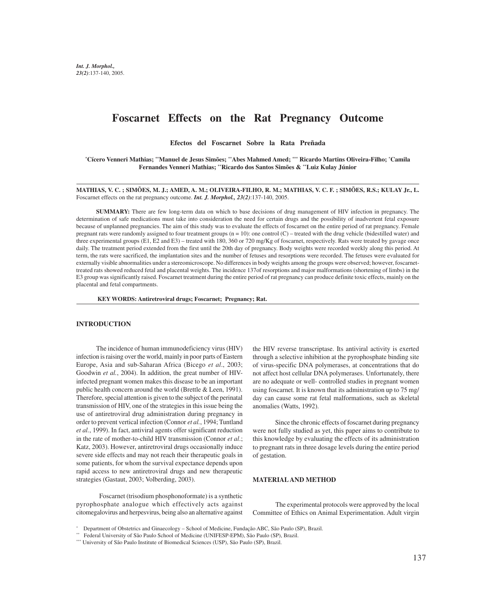# **Foscarnet Effects on the Rat Pregnancy Outcome**

**Efectos del Foscarnet Sobre la Rata Preñada**

**\* Cícero Venneri Mathias; \*\*Manuel de Jesus Simões; \*\*Abes Mahmed Amed; \*\*\* Ricardo Martins Oliveira-Filho; \* Camila Fernandes Venneri Mathias; \*\*Ricardo dos Santos Simões & \*\*Luiz Kulay Júnior**

**MATHIAS, V. C. ; SIMÕES, M. J.; AMED, A. M.; OLIVEIRA-FILHO, R. M.; MATHIAS, V. C. F. ; SIMÕES, R.S.; KULAY Jr., L.** Foscarnet effects on the rat pregnancy outcome. *Int. J. Morphol., 23(2)*:137-140, 2005.

**SUMMARY:** There are few long-term data on which to base decisions of drug management of HIV infection in pregnancy. The determination of safe medications must take into consideration the need for certain drugs and the possibility of inadvertent fetal exposure because of unplanned pregnancies. The aim of this study was to evaluate the effects of foscarnet on the entire period of rat pregnancy. Female pregnant rats were randomly assigned to four treatment groups  $(n = 10)$ : one control  $(C)$  – treated with the drug vehicle (bidestilled water) and three experimental groups (E1, E2 and E3) – treated with 180, 360 or 720 mg/Kg of foscarnet, respectively. Rats were treated by gavage once daily. The treatment period extended from the first until the 20th day of pregnancy. Body weights were recorded weekly along this period. At term, the rats were sacrificed, the implantation sites and the number of fetuses and resorptions were recorded. The fetuses were evaluated for externally visible abnormalities under a stereomicroscope. No differences in body weights among the groups were observed; however, foscarnettreated rats showed reduced fetal and placental weights. The incidence 137of resorptions and major malformations (shortening of limbs) in the E3 group was significantly raised. Foscarnet treatment during the entire period of rat pregnancy can produce definite toxic effects, mainly on the placental and fetal compartments.

**KEY WORDS: Antiretroviral drugs; Foscarnet; Pregnancy; Rat.**

### **INTRODUCTION**

The incidence of human immunodeficiency virus (HIV) infection is raising over the world, mainly in poor parts of Eastern Europe, Asia and sub-Saharan Africa (Bicego *et al*., 2003; Goodwin *et al.*, 2004). In addition, the great number of HIVinfected pregnant women makes this disease to be an important public health concern around the world (Brettle & Leen, 1991). Therefore, special attention is given to the subject of the perinatal transmission of HIV, one of the strategies in this issue being the use of antiretroviral drug administration during pregnancy in order to prevent vertical infection (Connor *et al.*, 1994; Tuntland *et al.*, 1999). In fact, antiviral agents offer significant reduction in the rate of mother-to-child HIV transmission (Connor *et al*.; Katz, 2003). However, antiretroviral drugs occasionally induce severe side effects and may not reach their therapeutic goals in some patients, for whom the survival expectance depends upon rapid access to new antiretroviral drugs and new therapeutic strategies (Gastaut, 2003; Volberding, 2003).

 Foscarnet (trisodium phosphonoformate) is a synthetic pyrophosphate analogue which effectively acts against citomegalovirus and herpesvirus, being also an alternative against

the HIV reverse transcriptase. Its antiviral activity is exerted through a selective inhibition at the pyrophosphate binding site of virus-specific DNA polymerases, at concentrations that do not affect host cellular DNA polymerases. Unfortunately, there are no adequate or well- controlled studies in pregnant women using foscarnet. It is known that its administration up to 75 mg/ day can cause some rat fetal malformations, such as skeletal anomalies (Watts, 1992).

 Since the chronic effects of foscarnet during pregnancy were not fully studied as yet, this paper aims to contribute to this knowledge by evaluating the effects of its administration to pregnant rats in three dosage levels during the entire period of gestation.

#### **MATERIAL AND METHOD**

 The experimental protocols were approved by the local Committee of Ethics on Animal Experimentation. Adult virgin

<sup>\*</sup> Department of Obstetrics and Ginaecology – School of Medicine, Fundação ABC, São Paulo (SP), Brazil.

<sup>\*\*</sup> Federal University of São Paulo School of Medicine (UNIFESP-EPM), São Paulo (SP), Brazil.

<sup>\*\*\*</sup> University of São Paulo Institute of Biomedical Sciences (USP), São Paulo (SP), Brazil.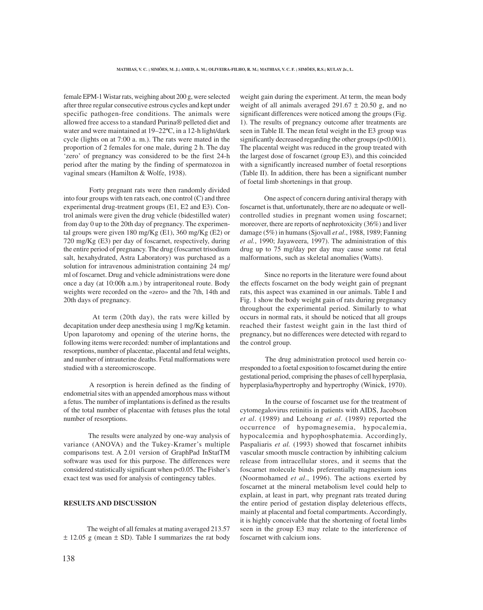female EPM-1 Wistar rats, weighing about 200 g, were selected after three regular consecutive estrous cycles and kept under specific pathogen-free conditions. The animals were allowed free access to a standard Purina® pelleted diet and water and were maintained at 19–22ºC, in a 12-h light/dark cycle (lights on at 7:00 a. m.). The rats were mated in the proportion of 2 females for one male, during 2 h. The day 'zero' of pregnancy was considered to be the first 24-h period after the mating by the finding of spermatozoa in vaginal smears (Hamilton & Wolfe, 1938).

 Forty pregnant rats were then randomly divided into four groups with ten rats each, one control (C) and three experimental drug-treatment groups (E1, E2 and E3). Control animals were given the drug vehicle (bidestilled water) from day 0 up to the 20th day of pregnancy. The experimental groups were given 180 mg/Kg  $(E1)$ , 360 mg/Kg  $(E2)$  or 720 mg/Kg (E3) per day of foscarnet, respectively, during the entire period of pregnancy. The drug (foscarnet trisodium salt, hexahydrated, Astra Laboratory) was purchased as a solution for intravenous administration containing 24 mg/ ml of foscarnet. Drug and vehicle administrations were done once a day (at 10:00h a.m.) by intraperitoneal route. Body weights were recorded on the «zero» and the 7th, 14th and 20th days of pregnancy.

 At term (20th day), the rats were killed by decapitation under deep anesthesia using 1 mg/Kg ketamin. Upon laparotomy and opening of the uterine horns, the following items were recorded: number of implantations and resorptions, number of placentae, placental and fetal weights, and number of intrauterine deaths. Fetal malformations were studied with a stereomicroscope.

 A resorption is herein defined as the finding of endometrial sites with an appended amorphous mass without a fetus. The number of implantations is defined as the results of the total number of placentae with fetuses plus the total number of resorptions.

 The results were analyzed by one-way analysis of variance (ANOVA) and the Tukey-Kramer's multiple comparisons test. A 2.01 version of GraphPad InStatTM software was used for this purpose. The differences were considered statistically significant when p<0.05. The Fisher's exact test was used for analysis of contingency tables.

# **RESULTS AND DISCUSSION**

 The weight of all females at mating averaged 213.57  $\pm$  12.05 g (mean  $\pm$  SD). Table I summarizes the rat body weight gain during the experiment. At term, the mean body weight of all animals averaged  $291.67 \pm 20.50$  g, and no significant differences were noticed among the groups (Fig. 1). The results of pregnancy outcome after treatments are seen in Table II. The mean fetal weight in the E3 group was significantly decreased regarding the other groups ( $p<0.001$ ). The placental weight was reduced in the group treated with the largest dose of foscarnet (group E3), and this coincided with a significantly increased number of foetal resorptions (Table II). In addition, there has been a significant number of foetal limb shortenings in that group.

 One aspect of concern during antiviral therapy with foscarnet is that, unfortunately, there are no adequate or wellcontrolled studies in pregnant women using foscarnet; moreover, there are reports of nephrotoxicity (36%) and liver damage (5%) in humans (Sjovall *et al*., 1988, 1989; Fanning *et al.*, 1990; Jayaweera, 1997). The administration of this drug up to 75 mg/day per day may cause some rat fetal malformations, such as skeletal anomalies (Watts).

Since no reports in the literature were found about the effects foscarnet on the body weight gain of pregnant rats, this aspect was examined in our animals. Table I and Fig. 1 show the body weight gain of rats during pregnancy throughout the experimental period. Similarly to what occurs in normal rats, it should be noticed that all groups reached their fastest weight gain in the last third of pregnancy, but no differences were detected with regard to the control group.

 The drug administration protocol used herein corresponded to a foetal exposition to foscarnet during the entire gestational period, comprising the phases of cell hyperplasia, hyperplasia/hypertrophy and hypertrophy (Winick, 1970).

 In the course of foscarnet use for the treatment of cytomegalovirus retinitis in patients with AIDS, Jacobson *et al*. (1989) and Lehoang *et al*. (1989) reported the occurrence of hypomagnesemia, hypocalemia, hypocalcemia and hypophosphatemia. Accordingly, Paspaliaris *et al.* (1993) showed that foscarnet inhibits vascular smooth muscle contraction by inhibiting calcium release from intracellular stores, and it seems that the foscarnet molecule binds preferentially magnesium ions (Noormohamed *et al*., 1996). The actions exerted by foscarnet at the mineral metabolism level could help to explain, at least in part, why pregnant rats treated during the entire period of gestation display deleterious effects, mainly at placental and foetal compartments. Accordingly, it is highly conceivable that the shortening of foetal limbs seen in the group E3 may relate to the interference of foscarnet with calcium ions.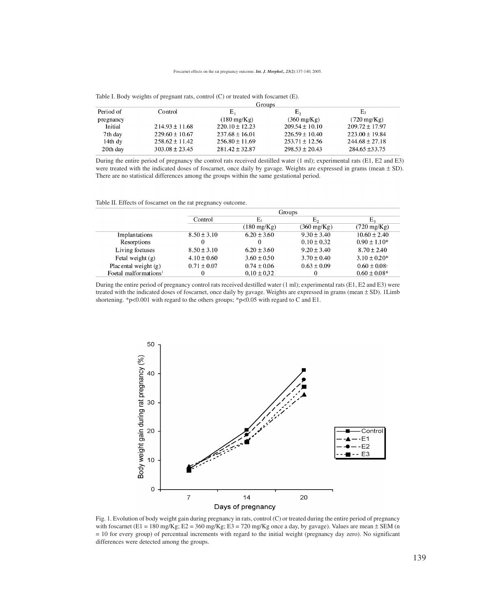|                      |                    | Groups                |                       |                       |  |  |
|----------------------|--------------------|-----------------------|-----------------------|-----------------------|--|--|
| Period of<br>Control |                    | Е,                    | Ε,                    | E٠                    |  |  |
| pregnancy            |                    | $(180 \text{ mg/Kg})$ | $(360 \text{ mg/Kg})$ | $(720 \text{ mg/Kg})$ |  |  |
| Initial              | $214.93 \pm 11.68$ | $220.10 \pm 12.23$    | $209.54 \pm 10.10$    | $209.72 \pm 17.97$    |  |  |
| 7th day              | $229.60 + 10.67$   | $237.68 + 16.01$      | $226.59 + 10.40$      | $223.00 \pm 19.84$    |  |  |
| $14th$ dy            | $258.62 \pm 11.42$ | $256.80 \pm 11.69$    | $253.71 \pm 12.56$    | $244.68 \pm 27.18$    |  |  |
| 20th day             | $303.08 \pm 23.45$ | $281.42 \pm 32.87$    | $298.53 \pm 20.43$    | $284.65 \pm 33.75$    |  |  |

Table I. Body weights of pregnant rats, control (C) or treated with foscarnet (E).

During the entire period of pregnancy the control rats received destilled water (1 ml); experimental rats (E1, E2 and E3) were treated with the indicated doses of foscarnet, once daily by gavage. Weights are expressed in grams (mean  $\pm$  SD). There are no statistical differences among the groups within the same gestational period.

Table II. Effects of foscarnet on the rat pregnancy outcome.

|                                   | Groups          |                       |                       |                       |  |
|-----------------------------------|-----------------|-----------------------|-----------------------|-----------------------|--|
|                                   | Control         | $E_1$                 | Ε,                    | $E_{\rm a}$           |  |
|                                   |                 | $(180 \text{ mg/Kg})$ | $(360 \text{ mg/Kg})$ | $(720 \text{ mg/Kg})$ |  |
| Implantations                     | $8.50 \pm 3.10$ | $6.20 \pm 3.60$       | $9.30 \pm 3.40$       | $10.60 \pm 2.40$      |  |
| Resorptions                       |                 |                       | $0.10 \pm 0.32$       | $0.90 \pm 1.10*$      |  |
| Living foetuses                   | $8.50 \pm 3.10$ | $6.20 \pm 3.60$       | $9.20 \pm 3.40$       | $8.70 \pm 2.40$       |  |
| Fetal weight $(g)$                | $4.10 \pm 0.60$ | $3.60 \pm 0.50$       | $3.70 \pm 0.40$       | $3.10 + 0.20*$        |  |
| Placental weight (g)              | $0.71 \pm 0.07$ | $0.74 \pm 0.06$       | $0.63 \pm 0.09$       | $0.60 \pm 0.08$       |  |
| Foetal malformations <sup>1</sup> | 0               | $0.10 \pm 0.32$       | 0                     | $0.60 \pm 0.08*$      |  |

During the entire period of pregnancy control rats received destilled water (1 ml); experimental rats (E1, E2 and E3) were treated with the indicated doses of foscarnet, once daily by gavage. Weights are expressed in grams (mean  $\pm$  SD). 1Limb shortening. \*p<0.001 with regard to the others groups; \*p<0.05 with regard to C and E1.



Fig. 1. Evolution of body weight gain during pregnancy in rats, control (C) or treated during the entire period of pregnancy with foscarnet (E1 = 180 mg/Kg; E2 = 360 mg/Kg; E3 = 720 mg/Kg once a day, by gavage). Values are mean  $\pm$  SEM (n = 10 for every group) of percentual increments with regard to the initial weight (pregnancy day zero). No significant differences were detected among the groups.